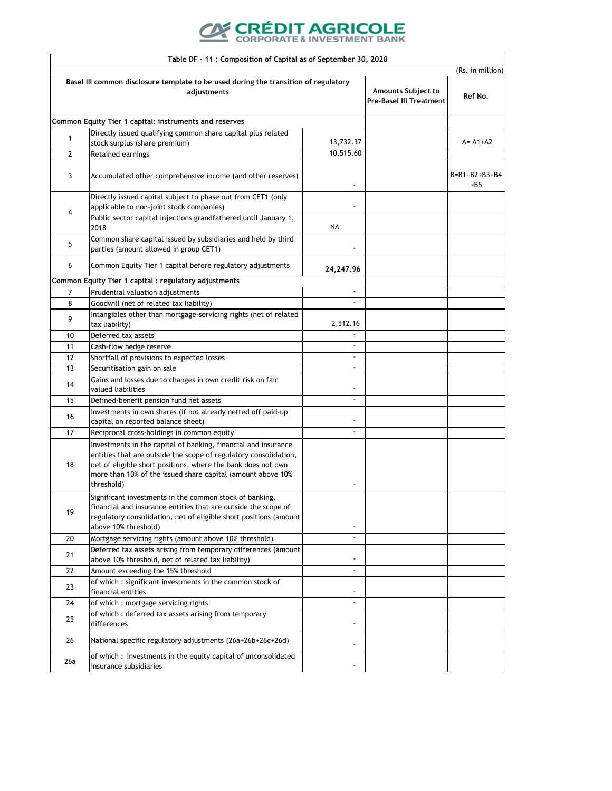## **CRÉDIT AGRICOLE**

|                | Table DF - 11 : Composition of Capital as of September 30, 2020                                                                                                                                                                                                                 |                          |                                                             |                        |
|----------------|---------------------------------------------------------------------------------------------------------------------------------------------------------------------------------------------------------------------------------------------------------------------------------|--------------------------|-------------------------------------------------------------|------------------------|
|                |                                                                                                                                                                                                                                                                                 |                          |                                                             | (Rs. in million)       |
|                | Basel III common disclosure template to be used during the transition of regulatory<br>adjustments                                                                                                                                                                              |                          | <b>Amounts Subject to</b><br><b>Pre-Basel III Treatment</b> | Ref No.                |
|                | Common Equity Tier 1 capital: instruments and reserves                                                                                                                                                                                                                          |                          |                                                             |                        |
| 1              | Directly issued qualifying common share capital plus related                                                                                                                                                                                                                    | 13,732.37                |                                                             | $A = A1 + A2$          |
| $\overline{2}$ | stock surplus (share premium)<br>Retained earnings                                                                                                                                                                                                                              | 10,515.60                |                                                             |                        |
| 3              | Accumulated other comprehensive income (and other reserves)                                                                                                                                                                                                                     |                          |                                                             | B=B1+B2+B3+B4<br>$+B5$ |
| 4              | Directly issued capital subject to phase out from CET1 (only<br>applicable to non-joint stock companies)                                                                                                                                                                        |                          |                                                             |                        |
|                | Public sector capital injections grandfathered until January 1,<br>2018                                                                                                                                                                                                         | <b>NA</b>                |                                                             |                        |
| 5              | Common share capital issued by subsidiaries and held by third<br>parties (amount allowed in group CET1)                                                                                                                                                                         |                          |                                                             |                        |
| 6              | Common Equity Tier 1 capital before regulatory adjustments                                                                                                                                                                                                                      | 24,247.96                |                                                             |                        |
|                | Common Equity Tier 1 capital : regulatory adjustments                                                                                                                                                                                                                           |                          |                                                             |                        |
| $\overline{7}$ | Prudential valuation adjustments                                                                                                                                                                                                                                                | $\blacksquare$           |                                                             |                        |
| 8              | Goodwill (net of related tax liability)                                                                                                                                                                                                                                         | $\sim$                   |                                                             |                        |
| 9              | Intangibles other than mortgage-servicing rights (net of related<br>tax liability)                                                                                                                                                                                              | 2,512.16                 |                                                             |                        |
| 10             | Deferred tax assets                                                                                                                                                                                                                                                             |                          |                                                             |                        |
| 11             | Cash-flow hedge reserve                                                                                                                                                                                                                                                         | ٠                        |                                                             |                        |
| 12             | Shortfall of provisions to expected losses                                                                                                                                                                                                                                      | $\blacksquare$           |                                                             |                        |
| 13             | Securitisation gain on sale                                                                                                                                                                                                                                                     | $\blacksquare$           |                                                             |                        |
| 14             | Gains and losses due to changes in own credit risk on fair<br>valued liabilities                                                                                                                                                                                                |                          |                                                             |                        |
| 15             | Defined-benefit pension fund net assets                                                                                                                                                                                                                                         | $\blacksquare$           |                                                             |                        |
| 16             | Investments in own shares (if not already netted off paid-up<br>capital on reported balance sheet)                                                                                                                                                                              | $\overline{\phantom{a}}$ |                                                             |                        |
| 17             | Reciprocal cross-holdings in common equity                                                                                                                                                                                                                                      | $\blacksquare$           |                                                             |                        |
| 18             | Investments in the capital of banking, financial and insurance<br>entities that are outside the scope of regulatory consolidation,<br>net of eligible short positions, where the bank does not own<br>more than 10% of the issued share capital (amount above 10%<br>threshold) |                          |                                                             |                        |
| 19             | Significant investments in the common stock of banking,<br>financial and insurance entities that are outside the scope of<br>regulatory consolidation, net of eligible short positions (amount<br>above 10% threshold)                                                          | $\overline{\phantom{a}}$ |                                                             |                        |
| 20             | Mortgage servicing rights (amount above 10% threshold)                                                                                                                                                                                                                          | $\tilde{\phantom{a}}$    |                                                             |                        |
| 21             | Deferred tax assets arising from temporary differences (amount<br>above 10% threshold, net of related tax liability)                                                                                                                                                            | $\overline{\phantom{a}}$ |                                                             |                        |
| 22             | Amount exceeding the 15% threshold                                                                                                                                                                                                                                              | $\blacksquare$           |                                                             |                        |
| 23             | of which: significant investments in the common stock of<br>financial entities                                                                                                                                                                                                  | $\blacksquare$           |                                                             |                        |
| 24             | of which : mortgage servicing rights                                                                                                                                                                                                                                            | $\blacksquare$           |                                                             |                        |
| 25             | of which: deferred tax assets arising from temporary<br>differences                                                                                                                                                                                                             | $\blacksquare$           |                                                             |                        |
| 26             | National specific regulatory adjustments (26a+26b+26c+26d)                                                                                                                                                                                                                      | $\blacksquare$           |                                                             |                        |
| 26a            | of which: Investments in the equity capital of unconsolidated<br>insurance subsidiaries                                                                                                                                                                                         |                          |                                                             |                        |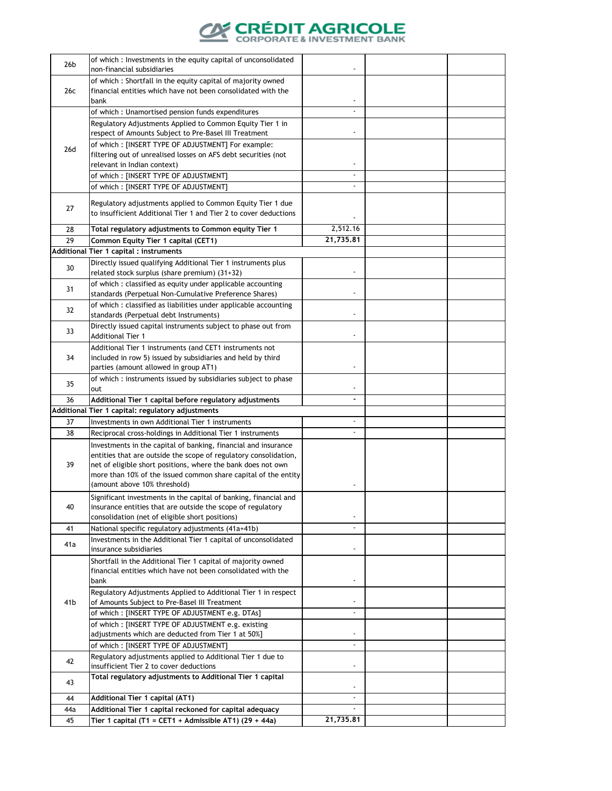

| 26 <sub>b</sub> | of which: Investments in the equity capital of unconsolidated<br>non-financial subsidiaries                                     |                          |  |
|-----------------|---------------------------------------------------------------------------------------------------------------------------------|--------------------------|--|
|                 | of which: Shortfall in the equity capital of majority owned                                                                     |                          |  |
| 26c             | financial entities which have not been consolidated with the                                                                    |                          |  |
|                 | bank                                                                                                                            | $\blacksquare$           |  |
|                 | of which: Unamortised pension funds expenditures<br>Regulatory Adjustments Applied to Common Equity Tier 1 in                   |                          |  |
|                 | respect of Amounts Subject to Pre-Basel III Treatment                                                                           |                          |  |
|                 | of which: [INSERT TYPE OF ADJUSTMENT] For example:                                                                              |                          |  |
| 26d             | filtering out of unrealised losses on AFS debt securities (not                                                                  |                          |  |
|                 | relevant in Indian context)                                                                                                     |                          |  |
|                 | of which: [INSERT TYPE OF ADJUSTMENT]                                                                                           |                          |  |
|                 | of which: [INSERT TYPE OF ADJUSTMENT]                                                                                           |                          |  |
| 27              | Regulatory adjustments applied to Common Equity Tier 1 due<br>to insufficient Additional Tier 1 and Tier 2 to cover deductions  |                          |  |
|                 |                                                                                                                                 | 2,512.16                 |  |
| 28<br>29        | Total regulatory adjustments to Common equity Tier 1<br>Common Equity Tier 1 capital (CET1)                                     | 21,735.81                |  |
|                 | Additional Tier 1 capital : instruments                                                                                         |                          |  |
|                 | Directly issued qualifying Additional Tier 1 instruments plus                                                                   |                          |  |
| 30              | related stock surplus (share premium) (31+32)                                                                                   |                          |  |
| 31              | of which: classified as equity under applicable accounting                                                                      |                          |  |
|                 | standards (Perpetual Non-Cumulative Preference Shares)                                                                          |                          |  |
| 32              | of which: classified as liabilities under applicable accounting                                                                 |                          |  |
|                 | standards (Perpetual debt Instruments)                                                                                          |                          |  |
| 33              | Directly issued capital instruments subject to phase out from<br><b>Additional Tier 1</b>                                       |                          |  |
|                 | Additional Tier 1 instruments (and CET1 instruments not                                                                         |                          |  |
| 34              | included in row 5) issued by subsidiaries and held by third<br>parties (amount allowed in group AT1)                            |                          |  |
|                 | of which: instruments issued by subsidiaries subject to phase                                                                   |                          |  |
| 35              | out                                                                                                                             |                          |  |
| 36              | Additional Tier 1 capital before regulatory adjustments                                                                         |                          |  |
| 37              | Additional Tier 1 capital: regulatory adjustments<br>Investments in own Additional Tier 1 instruments                           | $\blacksquare$           |  |
| 38              | Reciprocal cross-holdings in Additional Tier 1 instruments                                                                      | $\overline{\phantom{a}}$ |  |
|                 | Investments in the capital of banking, financial and insurance                                                                  |                          |  |
|                 | entities that are outside the scope of regulatory consolidation,                                                                |                          |  |
| 39              | net of eligible short positions, where the bank does not own                                                                    |                          |  |
|                 | more than 10% of the issued common share capital of the entity                                                                  |                          |  |
|                 | (amount above 10% threshold)                                                                                                    |                          |  |
| 40              | Significant investments in the capital of banking, financial and<br>insurance entities that are outside the scope of regulatory |                          |  |
|                 | consolidation (net of eligible short positions)                                                                                 |                          |  |
| 41              | National specific regulatory adjustments (41a+41b)                                                                              |                          |  |
|                 | Investments in the Additional Tier 1 capital of unconsolidated                                                                  |                          |  |
| 41a             | insurance subsidiaries                                                                                                          |                          |  |
|                 | Shortfall in the Additional Tier 1 capital of majority owned                                                                    |                          |  |
|                 | financial entities which have not been consolidated with the<br>bank                                                            |                          |  |
|                 | Regulatory Adjustments Applied to Additional Tier 1 in respect                                                                  |                          |  |
| 41 <sub>b</sub> | of Amounts Subject to Pre-Basel III Treatment                                                                                   |                          |  |
|                 | of which: [INSERT TYPE OF ADJUSTMENT e.g. DTAs]                                                                                 |                          |  |
|                 | of which: [INSERT TYPE OF ADJUSTMENT e.g. existing                                                                              |                          |  |
|                 | adjustments which are deducted from Tier 1 at 50%]                                                                              |                          |  |
|                 | of which: [INSERT TYPE OF ADJUSTMENT]                                                                                           |                          |  |
| 42              | Regulatory adjustments applied to Additional Tier 1 due to<br>insufficient Tier 2 to cover deductions                           |                          |  |
|                 | Total regulatory adjustments to Additional Tier 1 capital                                                                       |                          |  |
| 43              |                                                                                                                                 |                          |  |
| 44              | Additional Tier 1 capital (AT1)                                                                                                 | $\blacksquare$           |  |
| 44a             | Additional Tier 1 capital reckoned for capital adequacy                                                                         |                          |  |
| 45              | Tier 1 capital (T1 = CET1 + Admissible AT1) (29 + 44a)                                                                          | 21,735.81                |  |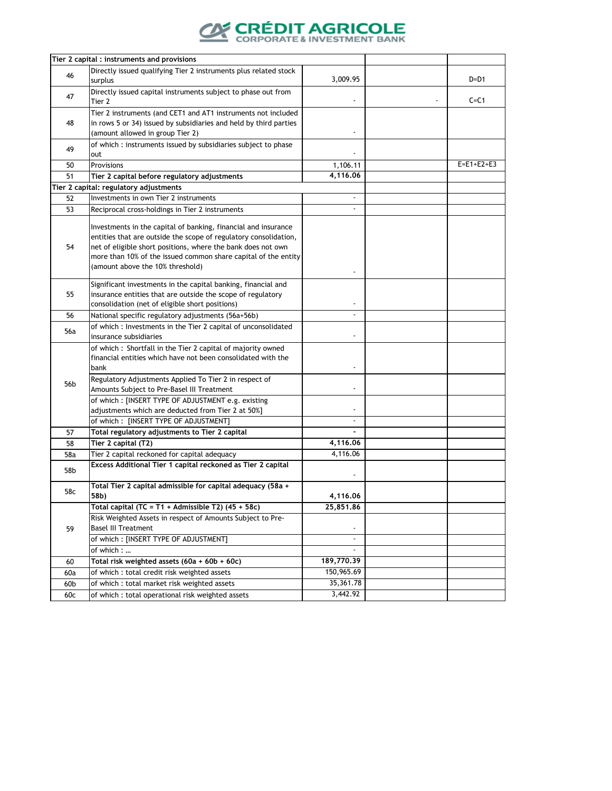

|                 | Tier 2 capital: instruments and provisions                                                                                                                                                                                                                                                               |                                                         |              |
|-----------------|----------------------------------------------------------------------------------------------------------------------------------------------------------------------------------------------------------------------------------------------------------------------------------------------------------|---------------------------------------------------------|--------------|
| 46              | Directly issued qualifying Tier 2 instruments plus related stock<br>surplus                                                                                                                                                                                                                              | 3,009.95                                                | $D=D1$       |
| 47              | Directly issued capital instruments subject to phase out from<br>Tier 2                                                                                                                                                                                                                                  |                                                         | $C = C1$     |
| 48              | Tier 2 instruments (and CET1 and AT1 instruments not included<br>in rows 5 or 34) issued by subsidiaries and held by third parties<br>(amount allowed in group Tier 2)                                                                                                                                   |                                                         |              |
| 49              | of which: instruments issued by subsidiaries subject to phase<br>out                                                                                                                                                                                                                                     |                                                         |              |
| 50              | Provisions                                                                                                                                                                                                                                                                                               | 1,106.11                                                | $E=E1+E2+E3$ |
| 51              | Tier 2 capital before regulatory adjustments                                                                                                                                                                                                                                                             | 4,116.06                                                |              |
|                 | Tier 2 capital: regulatory adjustments                                                                                                                                                                                                                                                                   |                                                         |              |
| 52              | Investments in own Tier 2 instruments                                                                                                                                                                                                                                                                    | $\blacksquare$                                          |              |
| 53              | Reciprocal cross-holdings in Tier 2 instruments                                                                                                                                                                                                                                                          | $\blacksquare$                                          |              |
| 54              | Investments in the capital of banking, financial and insurance<br>entities that are outside the scope of regulatory consolidation,<br>net of eligible short positions, where the bank does not own<br>more than 10% of the issued common share capital of the entity<br>(amount above the 10% threshold) |                                                         |              |
| 55              | Significant investments in the capital banking, financial and<br>insurance entities that are outside the scope of regulatory<br>consolidation (net of eligible short positions)                                                                                                                          |                                                         |              |
| 56              | National specific regulatory adjustments (56a+56b)                                                                                                                                                                                                                                                       |                                                         |              |
| 56a             | of which : Investments in the Tier 2 capital of unconsolidated<br>insurance subsidiaries                                                                                                                                                                                                                 |                                                         |              |
| 56 <sub>b</sub> | of which: Shortfall in the Tier 2 capital of majority owned<br>financial entities which have not been consolidated with the<br>bank<br>Regulatory Adjustments Applied To Tier 2 in respect of                                                                                                            |                                                         |              |
|                 | Amounts Subject to Pre-Basel III Treatment<br>of which: [INSERT TYPE OF ADJUSTMENT e.g. existing<br>adjustments which are deducted from Tier 2 at 50%]<br>of which: [INSERT TYPE OF ADJUSTMENT]                                                                                                          | $\overline{\phantom{a}}$<br>$\blacksquare$              |              |
| 57              | Total regulatory adjustments to Tier 2 capital                                                                                                                                                                                                                                                           | $\blacksquare$                                          |              |
| 58              | Tier 2 capital (T2)                                                                                                                                                                                                                                                                                      | 4,116.06                                                |              |
| 58a             | Tier 2 capital reckoned for capital adequacy                                                                                                                                                                                                                                                             | 4,116.06                                                |              |
| 58b             | Excess Additional Tier 1 capital reckoned as Tier 2 capital                                                                                                                                                                                                                                              |                                                         |              |
| 58c             | Total Tier 2 capital admissible for capital adequacy (58a +<br>58b)                                                                                                                                                                                                                                      | 4,116.06                                                |              |
| 59              | Total capital (TC = T1 + Admissible T2) $(45 + 58c)$<br>Risk Weighted Assets in respect of Amounts Subject to Pre-<br><b>Basel III Treatment</b><br>of which: [INSERT TYPE OF ADJUSTMENT]<br>of which :                                                                                                  | 25,851.86<br>$\blacksquare$<br>$\sim$<br>$\blacksquare$ |              |
| 60              | Total risk weighted assets $(60a + 60b + 60c)$                                                                                                                                                                                                                                                           | 189,770.39                                              |              |
| 60a             | of which : total credit risk weighted assets                                                                                                                                                                                                                                                             | 150,965.69                                              |              |
| 60 <sub>b</sub> | of which: total market risk weighted assets                                                                                                                                                                                                                                                              | 35,361.78                                               |              |
| 60c             | of which : total operational risk weighted assets                                                                                                                                                                                                                                                        | 3,442.92                                                |              |
|                 |                                                                                                                                                                                                                                                                                                          |                                                         |              |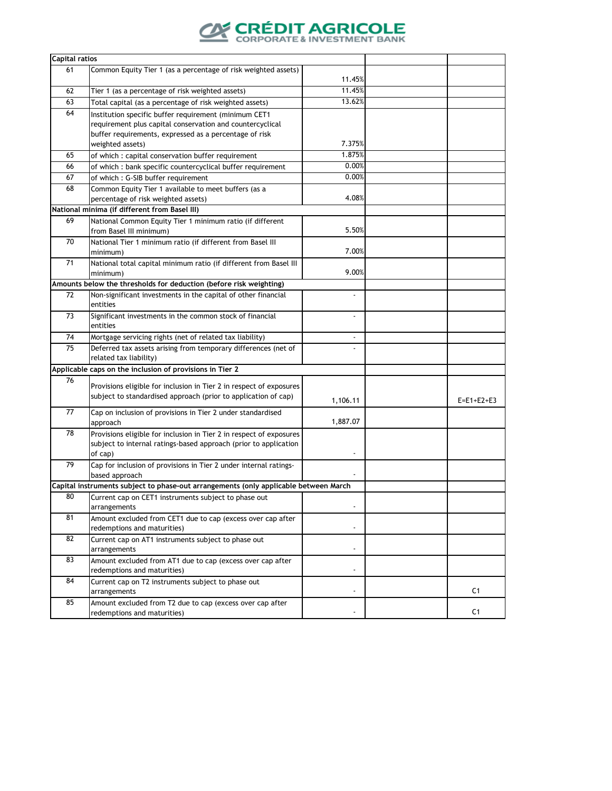

| <b>Capital ratios</b> |                                                                                      |                |                    |
|-----------------------|--------------------------------------------------------------------------------------|----------------|--------------------|
| 61                    | Common Equity Tier 1 (as a percentage of risk weighted assets)                       |                |                    |
|                       |                                                                                      | 11.45%         |                    |
| 62                    | Tier 1 (as a percentage of risk weighted assets)                                     | 11.45%         |                    |
| 63                    | Total capital (as a percentage of risk weighted assets)                              | 13.62%         |                    |
| 64                    | Institution specific buffer requirement (minimum CET1                                |                |                    |
|                       | requirement plus capital conservation and countercyclical                            |                |                    |
|                       | buffer requirements, expressed as a percentage of risk                               |                |                    |
|                       | weighted assets)                                                                     | 7.375%         |                    |
| 65                    | of which : capital conservation buffer requirement                                   | 1.875%         |                    |
| 66                    | of which : bank specific countercyclical buffer requirement                          | 0.00%          |                    |
| 67                    | of which: G-SIB buffer requirement                                                   | 0.00%          |                    |
| 68                    | Common Equity Tier 1 available to meet buffers (as a                                 |                |                    |
|                       | percentage of risk weighted assets)                                                  | 4.08%          |                    |
|                       | National minima (if different from Basel III)                                        |                |                    |
| 69                    | National Common Equity Tier 1 minimum ratio (if different                            |                |                    |
|                       | from Basel III minimum)                                                              | 5.50%          |                    |
| 70                    | National Tier 1 minimum ratio (if different from Basel III                           |                |                    |
|                       | minimum)                                                                             | 7.00%          |                    |
| 71                    | National total capital minimum ratio (if different from Basel III                    |                |                    |
|                       | minimum)                                                                             | 9.00%          |                    |
|                       | Amounts below the thresholds for deduction (before risk weighting)                   |                |                    |
| 72                    | Non-significant investments in the capital of other financial                        | ä,             |                    |
|                       | entities                                                                             |                |                    |
| 73                    | Significant investments in the common stock of financial                             |                |                    |
|                       | entities                                                                             |                |                    |
| 74                    | Mortgage servicing rights (net of related tax liability)                             | $\blacksquare$ |                    |
| 75                    | Deferred tax assets arising from temporary differences (net of                       |                |                    |
|                       | related tax liability)<br>Applicable caps on the inclusion of provisions in Tier 2   |                |                    |
| 76                    |                                                                                      |                |                    |
|                       | Provisions eligible for inclusion in Tier 2 in respect of exposures                  |                |                    |
|                       | subject to standardised approach (prior to application of cap)                       | 1,106.11       | $E = E1 + E2 + E3$ |
| 77                    | Cap on inclusion of provisions in Tier 2 under standardised                          |                |                    |
|                       | approach                                                                             | 1,887.07       |                    |
| 78                    | Provisions eligible for inclusion in Tier 2 in respect of exposures                  |                |                    |
|                       | subject to internal ratings-based approach (prior to application                     |                |                    |
|                       | of cap)                                                                              |                |                    |
| 79                    | Cap for inclusion of provisions in Tier 2 under internal ratings-                    |                |                    |
|                       | based approach                                                                       |                |                    |
|                       | Capital instruments subject to phase-out arrangements (only applicable between March |                |                    |
| 80                    | Current cap on CET1 instruments subject to phase out                                 |                |                    |
|                       | arrangements                                                                         |                |                    |
| 81                    | Amount excluded from CET1 due to cap (excess over cap after                          |                |                    |
|                       | redemptions and maturities)                                                          |                |                    |
| 82                    | Current cap on AT1 instruments subject to phase out                                  |                |                    |
|                       | arrangements                                                                         |                |                    |
| 83                    | Amount excluded from AT1 due to cap (excess over cap after                           |                |                    |
|                       | redemptions and maturities)                                                          |                |                    |
| 84                    | Current cap on T2 instruments subject to phase out                                   |                |                    |
|                       | arrangements                                                                         |                | C <sub>1</sub>     |
| 85                    | Amount excluded from T2 due to cap (excess over cap after                            |                |                    |
|                       | redemptions and maturities)                                                          |                | C <sub>1</sub>     |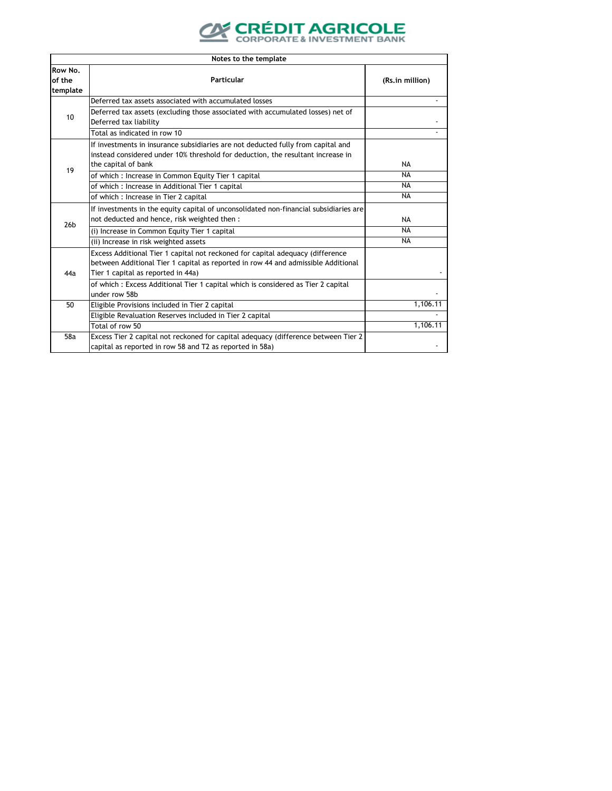

|                               | Notes to the template                                                                                                                                                                                     |                 |  |  |
|-------------------------------|-----------------------------------------------------------------------------------------------------------------------------------------------------------------------------------------------------------|-----------------|--|--|
| Row No.<br>of the<br>template | <b>Particular</b>                                                                                                                                                                                         | (Rs.in million) |  |  |
|                               | Deferred tax assets associated with accumulated losses                                                                                                                                                    |                 |  |  |
| 10                            | Deferred tax assets (excluding those associated with accumulated losses) net of<br>Deferred tax liability                                                                                                 |                 |  |  |
|                               | Total as indicated in row 10                                                                                                                                                                              |                 |  |  |
|                               | If investments in insurance subsidiaries are not deducted fully from capital and<br>instead considered under 10% threshold for deduction, the resultant increase in<br>the capital of bank                | <b>NA</b>       |  |  |
| 19                            | of which: Increase in Common Equity Tier 1 capital                                                                                                                                                        | <b>NA</b>       |  |  |
|                               | of which : Increase in Additional Tier 1 capital                                                                                                                                                          | <b>NA</b>       |  |  |
|                               | of which : Increase in Tier 2 capital                                                                                                                                                                     | <b>NA</b>       |  |  |
|                               | If investments in the equity capital of unconsolidated non-financial subsidiaries are<br>not deducted and hence, risk weighted then :                                                                     | <b>NA</b>       |  |  |
| 26 <sub>b</sub>               | (i) Increase in Common Equity Tier 1 capital                                                                                                                                                              | <b>NA</b>       |  |  |
|                               | (ii) Increase in risk weighted assets                                                                                                                                                                     | <b>NA</b>       |  |  |
| 44a                           | Excess Additional Tier 1 capital not reckoned for capital adequacy (difference<br>between Additional Tier 1 capital as reported in row 44 and admissible Additional<br>Tier 1 capital as reported in 44a) |                 |  |  |
|                               | of which: Excess Additional Tier 1 capital which is considered as Tier 2 capital<br>under row 58b                                                                                                         |                 |  |  |
| 50                            | Eligible Provisions included in Tier 2 capital                                                                                                                                                            | 1,106.11        |  |  |
|                               | Eligible Revaluation Reserves included in Tier 2 capital                                                                                                                                                  |                 |  |  |
|                               | Total of row 50                                                                                                                                                                                           | 1,106.11        |  |  |
| 58a                           | Excess Tier 2 capital not reckoned for capital adequacy (difference between Tier 2<br>capital as reported in row 58 and T2 as reported in 58a)                                                            |                 |  |  |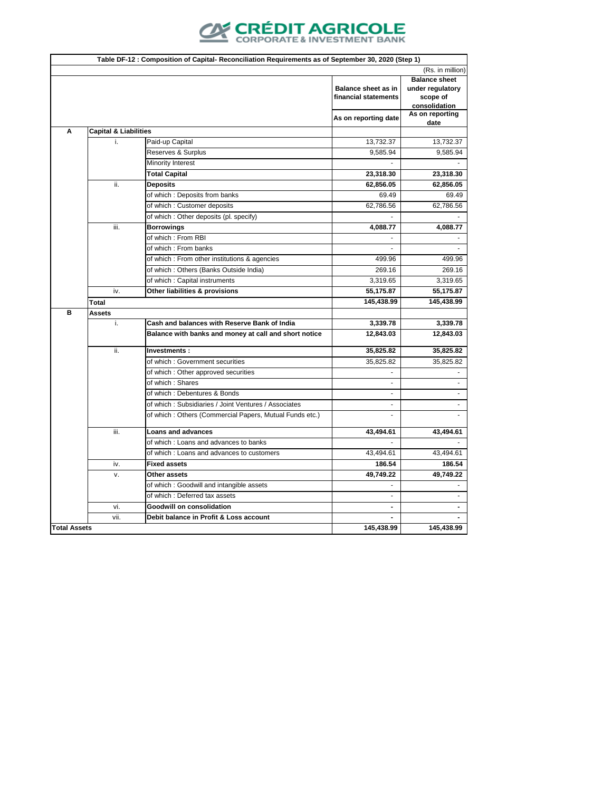

|                     |                                  |                                                         |                                                    | (Rs. in million)                                                      |
|---------------------|----------------------------------|---------------------------------------------------------|----------------------------------------------------|-----------------------------------------------------------------------|
|                     |                                  |                                                         | <b>Balance sheet as in</b><br>financial statements | <b>Balance sheet</b><br>under regulatory<br>scope of<br>consolidation |
|                     |                                  |                                                         | As on reporting date                               | As on reporting<br>date                                               |
| A                   | <b>Capital &amp; Liabilities</b> |                                                         |                                                    |                                                                       |
|                     | i.                               | Paid-up Capital                                         | 13,732.37                                          | 13,732.37                                                             |
|                     |                                  | Reserves & Surplus                                      | 9,585.94                                           | 9,585.94                                                              |
|                     |                                  | <b>Minority Interest</b>                                |                                                    |                                                                       |
|                     |                                  | <b>Total Capital</b>                                    | 23,318.30                                          | 23,318.30                                                             |
|                     | ii.                              | <b>Deposits</b>                                         | 62,856.05                                          | 62,856.05                                                             |
|                     |                                  | of which: Deposits from banks                           | 69.49                                              | 69.49                                                                 |
|                     |                                  | of which: Customer deposits                             | 62,786.56                                          | 62,786.56                                                             |
|                     |                                  | of which: Other deposits (pl. specify)                  |                                                    |                                                                       |
|                     | iii.                             | <b>Borrowings</b>                                       | 4,088.77                                           | 4,088.77                                                              |
|                     |                                  | of which: From RBI                                      |                                                    |                                                                       |
|                     |                                  | of which: From banks                                    |                                                    |                                                                       |
|                     |                                  | of which : From other institutions & agencies           | 499.96                                             | 499.96                                                                |
|                     |                                  | of which: Others (Banks Outside India)                  | 269.16                                             | 269.16                                                                |
|                     |                                  | of which : Capital instruments                          | 3,319.65                                           | 3,319.65                                                              |
|                     | iv.                              | Other liabilities & provisions                          | 55,175.87                                          | 55,175.87                                                             |
|                     | <b>Total</b>                     |                                                         | 145,438.99                                         | 145,438.99                                                            |
| B                   | <b>Assets</b>                    |                                                         |                                                    |                                                                       |
|                     | i.                               | Cash and balances with Reserve Bank of India            | 3,339.78                                           | 3,339.78                                                              |
|                     |                                  | Balance with banks and money at call and short notice   | 12,843.03                                          | 12,843.03                                                             |
|                     | ii.                              | Investments:                                            | 35,825.82                                          | 35,825.82                                                             |
|                     |                                  | of which: Government securities                         | 35,825.82                                          | 35,825.82                                                             |
|                     |                                  | of which: Other approved securities                     |                                                    |                                                                       |
|                     |                                  | of which: Shares                                        |                                                    |                                                                       |
|                     |                                  | of which: Debentures & Bonds                            |                                                    |                                                                       |
|                     |                                  | of which: Subsidiaries / Joint Ventures / Associates    |                                                    |                                                                       |
|                     |                                  | of which: Others (Commercial Papers, Mutual Funds etc.) |                                                    |                                                                       |
|                     | iii.                             | <b>Loans and advances</b>                               | 43,494.61                                          | 43,494.61                                                             |
|                     |                                  | of which: Loans and advances to banks                   |                                                    |                                                                       |
|                     |                                  | of which : Loans and advances to customers              | 43,494.61                                          | 43,494.61                                                             |
|                     | iv.                              | <b>Fixed assets</b>                                     | 186.54                                             | 186.54                                                                |
|                     | v.                               | Other assets                                            | 49,749.22                                          | 49,749.22                                                             |
|                     |                                  | of which: Goodwill and intangible assets                |                                                    |                                                                       |
|                     |                                  | of which: Deferred tax assets                           |                                                    |                                                                       |
|                     | vi.                              | <b>Goodwill on consolidation</b>                        |                                                    |                                                                       |
| <b>Total Assets</b> | vii.                             | Debit balance in Profit & Loss account                  |                                                    |                                                                       |
|                     |                                  |                                                         | 145,438.99                                         | 145,438.99                                                            |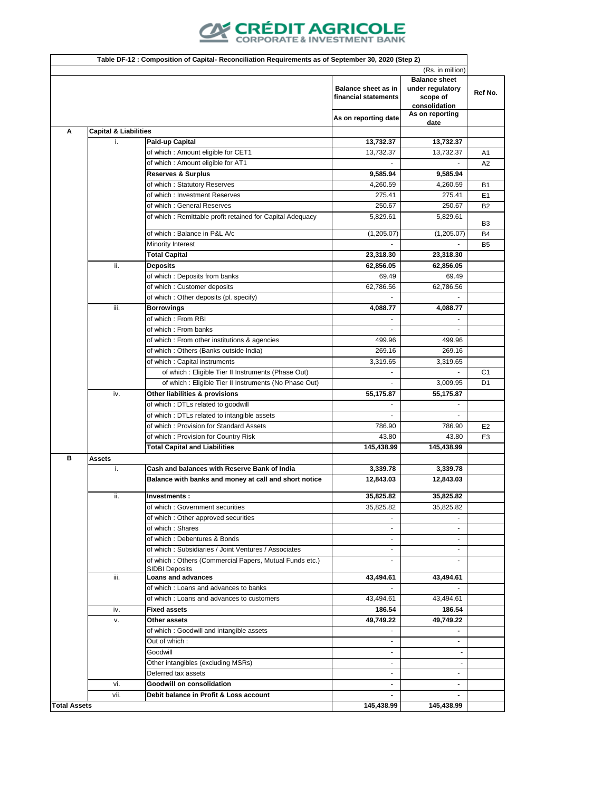

|                     | Table DF-12 : Composition of Capital- Reconciliation Requirements as of September 30, 2020 (Step 2) |                                                                                         |                                                    |                                               |                                  |
|---------------------|-----------------------------------------------------------------------------------------------------|-----------------------------------------------------------------------------------------|----------------------------------------------------|-----------------------------------------------|----------------------------------|
|                     | (Rs. in million)                                                                                    |                                                                                         |                                                    |                                               |                                  |
|                     |                                                                                                     |                                                                                         |                                                    | <b>Balance sheet</b>                          |                                  |
|                     |                                                                                                     |                                                                                         | <b>Balance sheet as in</b><br>financial statements | under regulatory<br>scope of<br>consolidation | Ref No.                          |
|                     |                                                                                                     |                                                                                         | As on reporting date                               | As on reporting                               |                                  |
|                     |                                                                                                     |                                                                                         |                                                    | date                                          |                                  |
| A                   | <b>Capital &amp; Liabilities</b><br>i.                                                              | Paid-up Capital                                                                         | 13,732.37                                          | 13,732.37                                     |                                  |
|                     |                                                                                                     | of which: Amount eligible for CET1                                                      | 13,732.37                                          | 13,732.37                                     |                                  |
|                     |                                                                                                     | of which: Amount eligible for AT1                                                       |                                                    |                                               | A <sub>1</sub><br>A2             |
|                     |                                                                                                     | Reserves & Surplus                                                                      | 9,585.94                                           | 9,585.94                                      |                                  |
|                     |                                                                                                     | of which: Statutory Reserves                                                            | 4,260.59                                           | 4,260.59                                      | B <sub>1</sub>                   |
|                     |                                                                                                     | of which: Investment Reserves                                                           | 275.41                                             | 275.41                                        | E <sub>1</sub>                   |
|                     |                                                                                                     | of which: General Reserves                                                              | 250.67                                             | 250.67                                        | B <sub>2</sub>                   |
|                     |                                                                                                     | of which: Remittable profit retained for Capital Adequacy                               | 5,829.61                                           | 5,829.61                                      |                                  |
|                     |                                                                                                     | of which : Balance in P&L A/c                                                           | (1,205.07)                                         | (1,205.07)                                    | B3<br><b>B4</b>                  |
|                     |                                                                                                     | <b>Minority Interest</b>                                                                |                                                    |                                               | B <sub>5</sub>                   |
|                     |                                                                                                     | <b>Total Capital</b>                                                                    | 23,318.30                                          | 23,318.30                                     |                                  |
|                     | ii.                                                                                                 | <b>Deposits</b>                                                                         | 62,856.05                                          | 62,856.05                                     |                                  |
|                     |                                                                                                     | of which : Deposits from banks                                                          | 69.49                                              | 69.49                                         |                                  |
|                     |                                                                                                     | of which: Customer deposits                                                             | 62,786.56                                          | 62,786.56                                     |                                  |
|                     |                                                                                                     | of which: Other deposits (pl. specify)                                                  |                                                    |                                               |                                  |
|                     | iii.                                                                                                | <b>Borrowings</b>                                                                       | 4,088.77                                           | 4,088.77                                      |                                  |
|                     |                                                                                                     | of which: From RBI                                                                      |                                                    |                                               |                                  |
|                     |                                                                                                     | of which: From banks                                                                    |                                                    |                                               |                                  |
|                     |                                                                                                     | of which : From other institutions & agencies                                           | 499.96                                             | 499.96                                        |                                  |
|                     |                                                                                                     | of which: Others (Banks outside India)                                                  | 269.16                                             | 269.16                                        |                                  |
|                     |                                                                                                     | of which: Capital instruments                                                           | 3,319.65                                           | 3,319.65                                      |                                  |
|                     |                                                                                                     | of which: Eligible Tier II Instruments (Phase Out)                                      |                                                    |                                               | C <sub>1</sub>                   |
|                     |                                                                                                     | of which: Eligible Tier II Instruments (No Phase Out)                                   |                                                    | 3,009.95                                      | D <sub>1</sub>                   |
|                     | iv.                                                                                                 | Other liabilities & provisions                                                          | 55,175.87                                          | 55,175.87                                     |                                  |
|                     |                                                                                                     | of which: DTLs related to goodwill                                                      |                                                    |                                               |                                  |
|                     |                                                                                                     | of which : DTLs related to intangible assets<br>of which: Provision for Standard Assets | 786.90                                             | 786.90                                        |                                  |
|                     |                                                                                                     | of which: Provision for Country Risk                                                    | 43.80                                              | 43.80                                         | E <sub>2</sub><br>E <sub>3</sub> |
|                     |                                                                                                     | <b>Total Capital and Liabilities</b>                                                    | 145,438.99                                         | 145,438.99                                    |                                  |
| B                   | <b>Assets</b>                                                                                       |                                                                                         |                                                    |                                               |                                  |
|                     | i.                                                                                                  | Cash and balances with Reserve Bank of India                                            | 3,339.78                                           | 3,339.78                                      |                                  |
|                     |                                                                                                     | Balance with banks and money at call and short notice                                   | 12,843.03                                          | 12,843.03                                     |                                  |
|                     | ii.                                                                                                 | Investments:                                                                            | 35,825.82                                          | 35,825.82                                     |                                  |
|                     |                                                                                                     | of which: Government securities                                                         | 35,825.82                                          | 35,825.82                                     |                                  |
|                     |                                                                                                     | of which: Other approved securities                                                     |                                                    |                                               |                                  |
|                     |                                                                                                     | of which: Shares                                                                        |                                                    |                                               |                                  |
|                     |                                                                                                     | of which: Debentures & Bonds                                                            | $\blacksquare$                                     |                                               |                                  |
|                     |                                                                                                     | of which: Subsidiaries / Joint Ventures / Associates                                    |                                                    |                                               |                                  |
|                     |                                                                                                     | of which: Others (Commercial Papers, Mutual Funds etc.)                                 | $\overline{\phantom{a}}$                           |                                               |                                  |
|                     | iii.                                                                                                | <b>SIDBI Deposits</b><br><b>Loans and advances</b>                                      | 43,494.61                                          | 43,494.61                                     |                                  |
|                     |                                                                                                     | of which: Loans and advances to banks                                                   |                                                    |                                               |                                  |
|                     |                                                                                                     | of which: Loans and advances to customers                                               | 43,494.61                                          | 43,494.61                                     |                                  |
|                     | iv.                                                                                                 | <b>Fixed assets</b>                                                                     | 186.54                                             | 186.54                                        |                                  |
|                     | v.                                                                                                  | Other assets                                                                            | 49,749.22                                          | 49,749.22                                     |                                  |
|                     |                                                                                                     | of which: Goodwill and intangible assets                                                | ٠                                                  |                                               |                                  |
|                     |                                                                                                     | Out of which:                                                                           | $\blacksquare$                                     |                                               |                                  |
|                     |                                                                                                     | Goodwill                                                                                | $\blacksquare$                                     |                                               |                                  |
|                     |                                                                                                     | Other intangibles (excluding MSRs)                                                      | $\blacksquare$                                     |                                               |                                  |
|                     |                                                                                                     | Deferred tax assets                                                                     | $\blacksquare$                                     |                                               |                                  |
|                     | vi.                                                                                                 | <b>Goodwill on consolidation</b>                                                        | ٠                                                  |                                               |                                  |
|                     | vii.                                                                                                | Debit balance in Profit & Loss account                                                  | ٠                                                  |                                               |                                  |
| <b>Total Assets</b> |                                                                                                     |                                                                                         | 145,438.99                                         | 145,438.99                                    |                                  |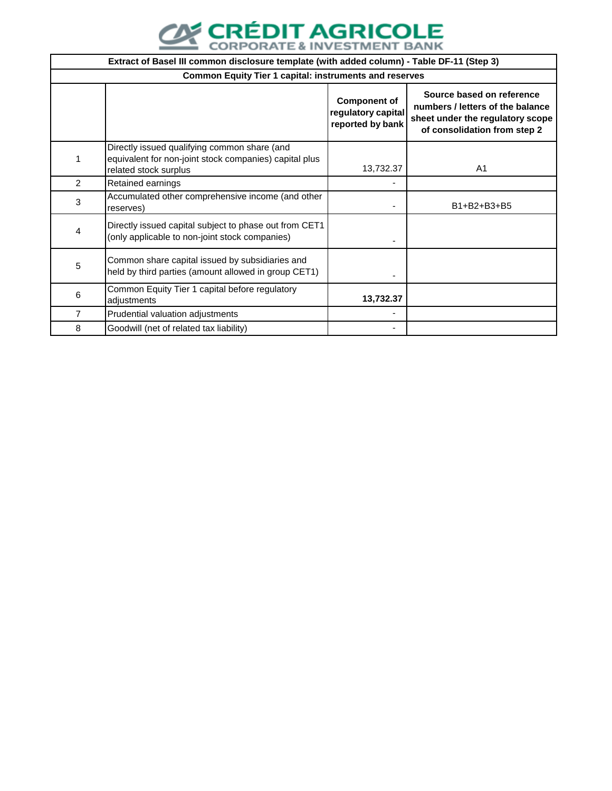

|   | Extract of Basel III common disclosure template (with added column) - Table DF-11 (Step 3)                                      |                                                               |                                                                                                                                   |  |  |
|---|---------------------------------------------------------------------------------------------------------------------------------|---------------------------------------------------------------|-----------------------------------------------------------------------------------------------------------------------------------|--|--|
|   | <b>Common Equity Tier 1 capital: instruments and reserves</b>                                                                   |                                                               |                                                                                                                                   |  |  |
|   |                                                                                                                                 | <b>Component of</b><br>regulatory capital<br>reported by bank | Source based on reference<br>numbers / letters of the balance<br>sheet under the regulatory scope<br>of consolidation from step 2 |  |  |
|   | Directly issued qualifying common share (and<br>equivalent for non-joint stock companies) capital plus<br>related stock surplus | 13,732.37                                                     | A <sub>1</sub>                                                                                                                    |  |  |
| 2 | Retained earnings                                                                                                               |                                                               |                                                                                                                                   |  |  |
| 3 | Accumulated other comprehensive income (and other<br>reserves)                                                                  |                                                               | B1+B2+B3+B5                                                                                                                       |  |  |
| 4 | Directly issued capital subject to phase out from CET1<br>(only applicable to non-joint stock companies)                        |                                                               |                                                                                                                                   |  |  |
| 5 | Common share capital issued by subsidiaries and<br>held by third parties (amount allowed in group CET1)                         |                                                               |                                                                                                                                   |  |  |
| 6 | Common Equity Tier 1 capital before regulatory<br>adjustments                                                                   | 13,732.37                                                     |                                                                                                                                   |  |  |
| 7 | Prudential valuation adjustments                                                                                                |                                                               |                                                                                                                                   |  |  |
| 8 | Goodwill (net of related tax liability)                                                                                         |                                                               |                                                                                                                                   |  |  |